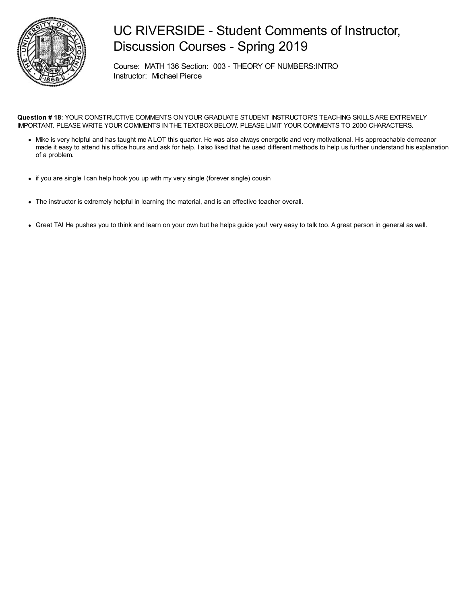

## UC RIVERSIDE - Student Comments of Instructor, Discussion Courses - Spring 2019

Course: MATH 136 Section: 003 - THEORY OF NUMBERS:INTRO Instructor: Michael Pierce

**Question # 18**: YOUR CONSTRUCTIVE COMMENTS ON YOUR GRADUATE STUDENT INSTRUCTOR'S TEACHING SKILLS ARE EXTREMELY IMPORTANT. PLEASE WRITE YOUR COMMENTS IN THE TEXTBOX BELOW. PLEASE LIMIT YOUR COMMENTS TO 2000 CHARACTERS.

- Mike is very helpful and has taught me A LOT this quarter. He was also always energetic and very motivational. His approachable demeanor made it easy to attend his office hours and ask for help. I also liked that he used different methods to help us further understand his explanation of a problem.
- if you are single I can help hook you up with my very single (forever single) cousin
- The instructor is extremely helpful in learning the material, and is an effective teacher overall.
- Great TA! He pushes you to think and learn on your own but he helps guide you! very easy to talk too. A great person in general as well.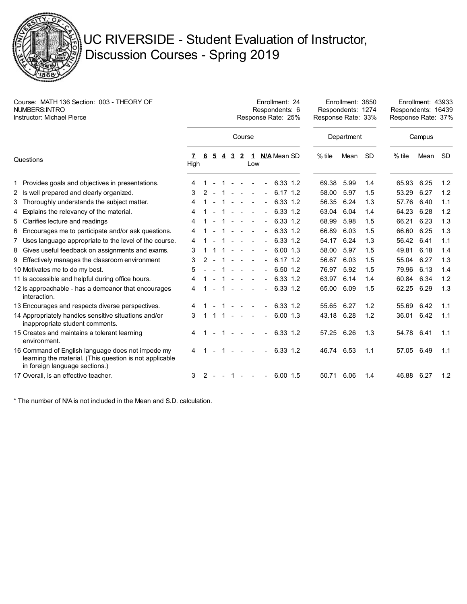

## UC RIVERSIDE - Student Evaluation of Instructor, Discussion Courses - Spring 2019

| Course: MATH 136 Section: 003 - THEORY OF<br>NUMBERS: INTRO<br><b>Instructor: Michael Pierce</b> |                                                                                                                                                |           | Enrollment: 24<br>Respondents: 6<br>Response Rate: 25% |                |        |                |                |                     |  |                |               |  | Enrollment: 3850<br>Respondents: 1274<br>Response Rate: 33% |      |     | Enrollment: 43933<br>Respondents: 16439<br>Response Rate: 37% |      |           |
|--------------------------------------------------------------------------------------------------|------------------------------------------------------------------------------------------------------------------------------------------------|-----------|--------------------------------------------------------|----------------|--------|----------------|----------------|---------------------|--|----------------|---------------|--|-------------------------------------------------------------|------|-----|---------------------------------------------------------------|------|-----------|
|                                                                                                  |                                                                                                                                                | Course    |                                                        |                |        |                |                |                     |  |                |               |  | Department                                                  |      |     | Campus                                                        |      |           |
| Questions                                                                                        |                                                                                                                                                | 7<br>High | -6                                                     | $\overline{5}$ | 4      | $\overline{3}$ | $\overline{2}$ | Low                 |  |                | 1 N/A Mean SD |  | $%$ tile                                                    | Mean | -SD | $%$ tile                                                      | Mean | <b>SD</b> |
|                                                                                                  | 1 Provides goals and objectives in presentations.                                                                                              | 4         |                                                        |                |        |                |                |                     |  | $\blacksquare$ | 6.33 1.2      |  | 69.38                                                       | 5.99 | 1.4 | 65.93                                                         | 6.25 | 1.2       |
|                                                                                                  | 2 Is well prepared and clearly organized.                                                                                                      | 3         | 2                                                      |                |        |                |                |                     |  | $\blacksquare$ | $6.17$ 1.2    |  | 58.00                                                       | 5.97 | 1.5 | 53.29                                                         | 6.27 | 1.2       |
|                                                                                                  | 3 Thoroughly understands the subject matter.                                                                                                   | 4         |                                                        |                |        |                |                |                     |  | $\blacksquare$ | 6.33 1.2      |  | 56.35                                                       | 6.24 | 1.3 | 57.76                                                         | 6.40 | 1.1       |
|                                                                                                  | 4 Explains the relevancy of the material.                                                                                                      | 4         |                                                        |                |        |                |                |                     |  | $\blacksquare$ | 6.33 1.2      |  | 63.04                                                       | 6.04 | 1.4 | 64.23                                                         | 6.28 | 1.2       |
|                                                                                                  | 5 Clarifies lecture and readings                                                                                                               | 4         |                                                        |                |        |                |                | $\blacksquare$      |  | $\blacksquare$ | 6.33 1.2      |  | 68.99                                                       | 5.98 | 1.5 | 66.21                                                         | 6.23 | 1.3       |
|                                                                                                  | 6 Encourages me to participate and/or ask questions.                                                                                           | 4         |                                                        |                |        |                |                |                     |  | $\blacksquare$ | 6.33 1.2      |  | 66.89                                                       | 6.03 | 1.5 | 66.60                                                         | 6.25 | 1.3       |
|                                                                                                  | 7 Uses language appropriate to the level of the course.                                                                                        | 4         |                                                        |                |        |                | $\blacksquare$ |                     |  | $\blacksquare$ | 6.33 1.2      |  | 54.17                                                       | 6.24 | 1.3 | 56.42                                                         | 6.41 | 1.1       |
|                                                                                                  | 8 Gives useful feedback on assignments and exams.                                                                                              | 3         |                                                        |                |        |                |                |                     |  | $\blacksquare$ | $6.00$ 1.3    |  | 58.00                                                       | 5.97 | 1.5 | 49.81                                                         | 6.18 | 1.4       |
|                                                                                                  | 9 Effectively manages the classroom environment                                                                                                | 3         | 2                                                      | $\sim$         |        |                |                | $\sim$              |  | $\blacksquare$ | $6.17$ 1.2    |  | 56.67                                                       | 6.03 | 1.5 | 55.04                                                         | 6.27 | 1.3       |
|                                                                                                  | 10 Motivates me to do my best.                                                                                                                 | 5         |                                                        |                |        |                |                |                     |  | $\blacksquare$ | 6.50 1.2      |  | 76.97                                                       | 5.92 | 1.5 | 79.96                                                         | 6.13 | 1.4       |
|                                                                                                  | 11 Is accessible and helpful during office hours.                                                                                              | 4         |                                                        |                |        | $\sim$         | $\sim$         | $\sim$              |  | $\blacksquare$ | 6.33 1.2      |  | 63.97                                                       | 6.14 | 1.4 | 60.84                                                         | 6.34 | 1.2       |
|                                                                                                  | 12 ls approachable - has a demeanor that encourages<br>interaction.                                                                            | 4         |                                                        |                |        |                | $\sim$         |                     |  | $\blacksquare$ | 6.33 1.2      |  | 65.00                                                       | 6.09 | 1.5 | 62.25                                                         | 6.29 | 1.3       |
|                                                                                                  | 13 Encourages and respects diverse perspectives.                                                                                               |           |                                                        |                |        |                |                |                     |  |                | 6.33 1.2      |  | 55.65                                                       | 6.27 | 1.2 | 55.69                                                         | 6.42 | 1.1       |
|                                                                                                  | 14 Appropriately handles sensitive situations and/or<br>inappropriate student comments.                                                        | 3         |                                                        |                |        | 1 –            | $\sim$         |                     |  | $\blacksquare$ | 6.00 1.3      |  | 43.18 6.28                                                  |      | 1.2 | 36.01                                                         | 6.42 | 1.1       |
|                                                                                                  | 15 Creates and maintains a tolerant learning<br>environment.                                                                                   |           |                                                        |                |        |                |                |                     |  | $\blacksquare$ | 6.33 1.2      |  | 57.25 6.26                                                  |      | 1.3 | 54.78                                                         | 6.41 | 1.1       |
|                                                                                                  | 16 Command of English language does not impede my<br>learning the material. (This question is not applicable<br>in foreign language sections.) |           |                                                        |                |        |                |                |                     |  | $\blacksquare$ | 6.33 1.2      |  | 46.74 6.53                                                  |      | 1.1 | 57.05                                                         | 6.49 | 1.1       |
|                                                                                                  | 17 Overall, is an effective teacher.                                                                                                           | 3         | 2                                                      |                | $\sim$ | 1              |                | $\omega_{\rm{max}}$ |  | $\blacksquare$ | $6.00$ 1.5    |  | 50.71                                                       | 6.06 | 1.4 | 46.88 6.27                                                    |      | 1.2       |

\* The number of N/A is not included in the Mean and S.D. calculation.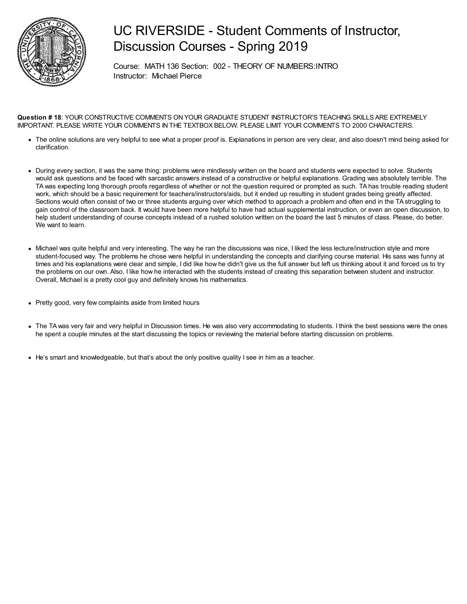

## UC RIVERSIDE - Student Comments of Instructor, Discussion Courses - Spring 2019

Course: MATH 136 Section: 002 - THEORY OF NUMBERS:INTRO Instructor: Michael Pierce

**Question # 18**: YOUR CONSTRUCTIVE COMMENTS ON YOUR GRADUATE STUDENT INSTRUCTOR'S TEACHING SKILLS ARE EXTREMELY IMPORTANT. PLEASE WRITE YOUR COMMENTS IN THE TEXTBOX BELOW. PLEASE LIMIT YOUR COMMENTS TO 2000 CHARACTERS.

- The online solutions are very helpful to see what a proper proof is. Explanations in person are very clear, and also doesn't mind being asked for clarification.
- During every section, it was the same thing: problems were mindlessly written on the board and students were expected to solve. Students would ask questions and be faced with sarcastic answers instead of a constructive or helpful explanations. Grading was absolutely terrible. The TAwas expecting long thorough proofs regardless of whether or not the question required or prompted as such. TA has trouble reading student work, which should be a basic requirement for teachers/instructors/aids, but it ended up resulting in student grades being greatly affected. Sections would often consist of two or three students arguing over which method to approach a problem and often end in the TA struggling to gain control of the classroom back. It would have been more helpful to have had actual supplemental instruction, or even an open discussion, to help student understanding of course concepts instead of a rushed solution written on the board the last 5 minutes of class. Please, do better. We want to learn.
- Michael was quite helpful and very interesting. The way he ran the discussions was nice, I liked the less lecture/instruction style and more student-focused way. The problems he chose were helpful in understanding the concepts and clarifying course material. His sass was funny at times and his explanations were clear and simple, I did like how he didn't give us the full answer but left us thinking about it and forced us to try the problems on our own. Also, I like how he interacted with the students instead of creating this separation between student and instructor. Overall, Michael is a pretty cool guy and definitely knows his mathematics.
- Pretty good, very few complaints aside from limited hours
- The TAwas very fair and very helpful in Discussion times. He was also very accommodating to students. I think the best sessions were the ones he spent a couple minutes at the start discussing the topics or reviewing the material before starting discussion on problems.
- He's smart and knowledgeable, but that's about the only positive quality I see in him as a teacher.